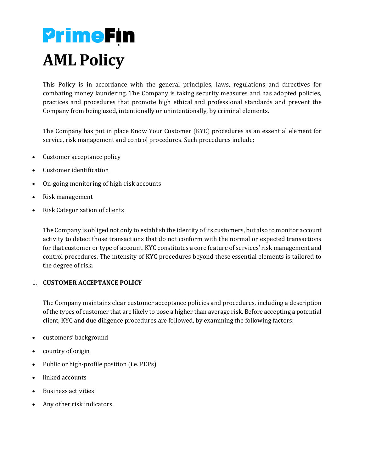# **PrimeFin AML Policy**

This Policy is in accordance with the general principles, laws, regulations and directives for combating money laundering. The Company is taking security measures and has adopted policies, practices and procedures that promote high ethical and professional standards and prevent the Company from being used, intentionally or unintentionally, by criminal elements.

The Company has put in place Know Your Customer (KYC) procedures as an essential element for service, risk management and control procedures. Such procedures include:

- Customer acceptance policy
- Customer identification
- On-going monitoring of high-risk accounts
- Risk management
- Risk Categorization of clients

The Company is obliged not only to establish the identity of its customers, but also to monitor account activity to detect those transactions that do not conform with the normal or expected transactions for that customer or type of account. KYC constitutes a core feature of services' risk management and control procedures. The intensity of KYC procedures beyond these essential elements is tailored to the degree of risk.

#### 1. **CUSTOMER ACCEPTANCE POLICY**

The Company maintains clear customer acceptance policies and procedures, including a description of the types of customer that are likely to pose a higher than average risk. Before accepting a potential client, KYC and due diligence procedures are followed, by examining the following factors:

- customers' background
- country of origin
- Public or high-profile position (i.e. PEPs)
- linked accounts
- Business activities
- Any other risk indicators.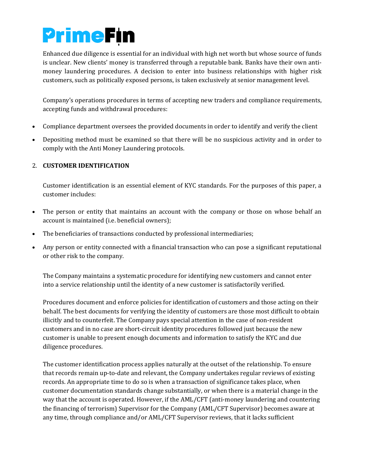## **PrimeFin**

Enhanced due diligence is essential for an individual with high net worth but whose source of funds is unclear. New clients' money is transferred through a reputable bank. Banks have their own antimoney laundering procedures. A decision to enter into business relationships with higher risk customers, such as politically exposed persons, is taken exclusively at senior management level.

Company's operations procedures in terms of accepting new traders and compliance requirements, accepting funds and withdrawal procedures:

- Compliance department oversees the provided documents in order to identify and verify the client
- Depositing method must be examined so that there will be no suspicious activity and in order to comply with the Anti Money Laundering protocols.

### 2. **CUSTOMER IDENTIFICATION**

Customer identification is an essential element of KYC standards. For the purposes of this paper, a customer includes:

- The person or entity that maintains an account with the company or those on whose behalf an account is maintained (i.e. beneficial owners);
- The beneficiaries of transactions conducted by professional intermediaries;
- Any person or entity connected with a financial transaction who can pose a significant reputational or other risk to the company.

The Company maintains a systematic procedure for identifying new customers and cannot enter into a service relationship until the identity of a new customer is satisfactorily verified.

Procedures document and enforce policies for identification of customers and those acting on their behalf. The best documents for verifying the identity of customers are those most difficult to obtain illicitly and to counterfeit. The Company pays special attention in the case of non-resident customers and in no case are short-circuit identity procedures followed just because the new customer is unable to present enough documents and information to satisfy the KYC and due diligence procedures.

The customer identification process applies naturally at the outset of the relationship. To ensure that records remain up-to-date and relevant, the Company undertakes regular reviews of existing records. An appropriate time to do so is when a transaction of significance takes place, when customer documentation standards change substantially, or when there is a material change in the way that the account is operated. However, if the AML/CFT (anti-money laundering and countering the financing of terrorism) Supervisor for the Company (AML/CFT Supervisor) becomes aware at any time, through compliance and/or AML/CFT Supervisor reviews, that it lacks sufficient